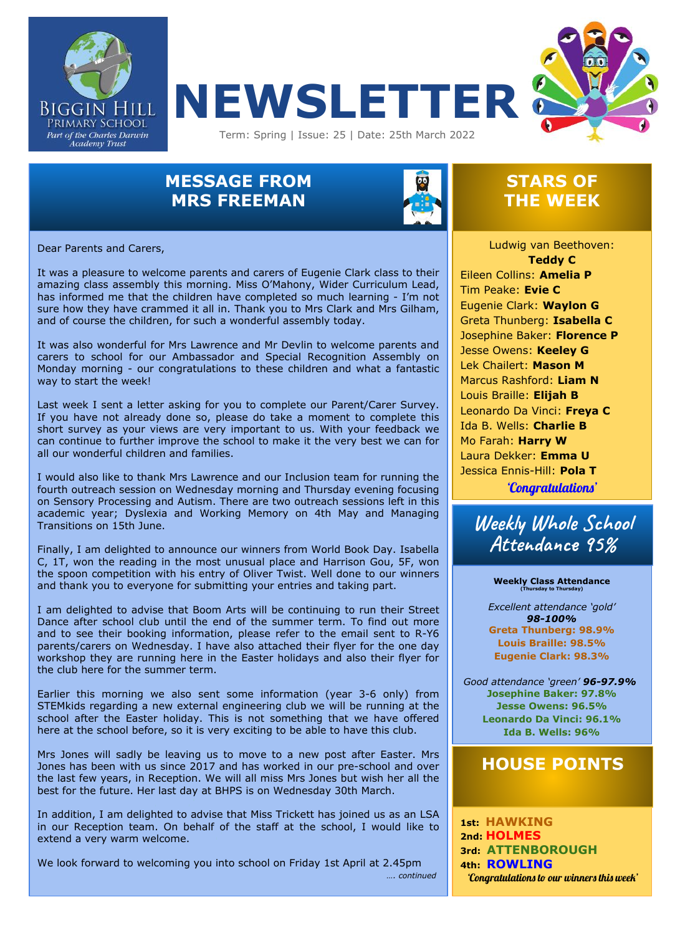





## **MESSAGE FROM MRS FREEMAN**



### **STARS OF THE WEEK**

Dear Parents and Carers,

has informed me that the children have completed so much learning - I'm not It was a pleasure to welcome parents and carers of Eugenie Clark class to their amazing class assembly this morning. Miss O'Mahony, Wider Curriculum Lead, sure how they have crammed it all in. Thank you to Mrs Clark and Mrs Gilham, and of course the children, for such a wonderful assembly today.

It was also wonderful for Mrs Lawrence and Mr Devlin to welcome parents and carers to school for our Ambassador and Special Recognition Assembly on Monday morning - our congratulations to these children and what a fantastic way to start the week!

Last week I sent a letter asking for you to complete our Parent/Carer Survey. If you have not already done so, please do take a moment to complete this short survey as your views are very important to us. With your feedback we can continue to further improve the school to make it the very best we can for all our wonderful children and families.

I would also like to thank Mrs Lawrence and our Inclusion team for running the fourth outreach session on Wednesday morning and Thursday evening focusing on Sensory Processing and Autism. There are two outreach sessions left in this academic year; Dyslexia and Working Memory on 4th May and Managing Transitions on 15th June.

Finally, I am delighted to announce our winners from World Book Day. Isabella C, 1T, won the reading in the most unusual place and Harrison Gou, 5F, won the spoon competition with his entry of Oliver Twist. Well done to our winners and thank you to everyone for submitting your entries and taking part.

I am delighted to advise that Boom Arts will be continuing to run their Street Dance after school club until the end of the summer term. To find out more and to see their booking information, please refer to the email sent to R-Y6 parents/carers on Wednesday. I have also attached their flyer for the one day workshop they are running here in the Easter holidays and also their flyer for the club here for the summer term.

Earlier this morning we also sent some information (year 3-6 only) from STEMkids regarding a new external engineering club we will be running at the school after the Easter holiday. This is not something that we have offered here at the school before, so it is very exciting to be able to have this club.

Mrs Jones will sadly be leaving us to move to a new post after Easter. Mrs Jones has been with us since 2017 and has worked in our pre-school and over the last few years, in Reception. We will all miss Mrs Jones but wish her all the best for the future. Her last day at BHPS is on Wednesday 30th March.

In addition, I am delighted to advise that Miss Trickett has joined us as an LSA in our Reception team. On behalf of the staff at the school, I would like to extend a very warm welcome.

We look forward to welcoming you into school on Friday 1st April at 2.45pm *…. continued*

 Jesse Owens: **Keeley G** Ludwig van Beethoven: **Teddy C** Eileen Collins: **Amelia P**  Tim Peake: **Evie C** Eugenie Clark: **Waylon G** Greta Thunberg: **Isabella C** Josephine Baker: **Florence P** Lek Chailert: **Mason M** Marcus Rashford: **Liam N** Louis Braille: **Elijah B** Leonardo Da Vinci: **Freya C** Ida B. Wells: **Charlie B** Mo Farah: **Harry W** Laura Dekker: **Emma U** Jessica Ennis-Hill: **Pola T** 'Congratulations'

**Weekly Whole School Attendance 95%**

#### **Weekly Class Attendance (Thursday to Thursday)**

*Excellent attendance 'gold' 98-100%* **Greta Thunberg: 98.9% Louis Braille: 98.5% Eugenie Clark: 98.3%**

Weekly Attendance Table *Good attendance 'green' 96-97.9%* **Josephine Baker: 97.8% Jesse Owens: 96.5% Leonardo Da Vinci: 96.1% Ida B. Wells: 96%**

### **HOUSE POINTS**

**1st: HAWKING 2nd: HOLMES 3rd: ATTENBOROUGH 4th: ROWLING** 'Congratulations to our winners this week'